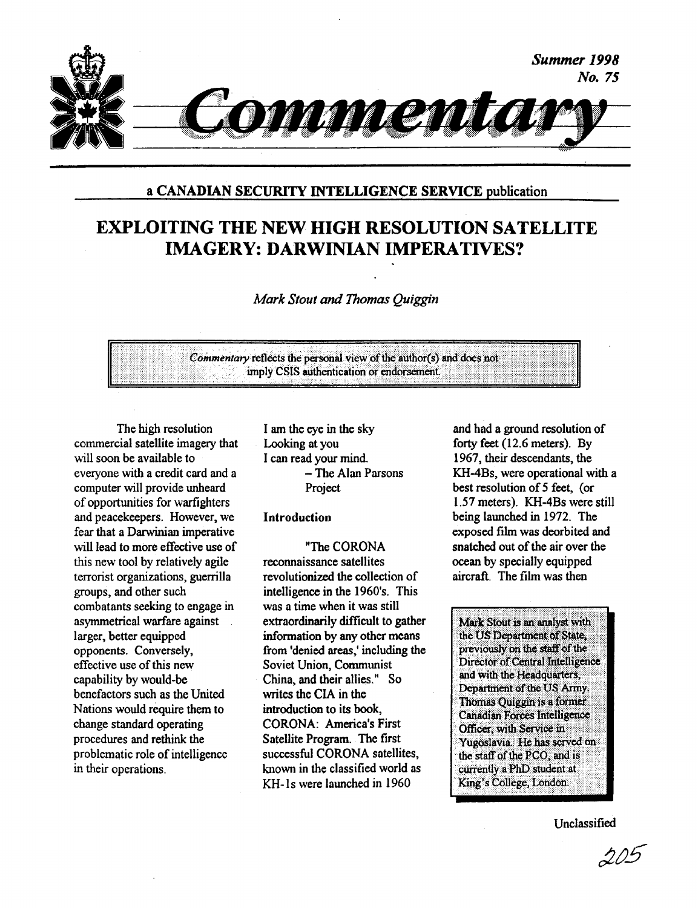

## a CANADIAN SECURITY INTELLIGENCE SERVICE publication

# **EXPLOITING THE NEW HIGH RESOLUTION SATELLITE IMAGERY: DARWINIAN IMPERATIVES?**

# Mark Stout and Thomas Quiggin

Commentary reflects the personal view of the author(s) and does not imply CSIS authentication or endorsement.

The high resolution commercial satellite imagery that will soon be available to everyone with a credit card and a computer will provide unheard of opportunities for warfighters and peacekeepers. However, we fear that a Darwinian imperative will lead to more effective use of this new tool by relatively agile terrorist organizations, guerrilla groups, and other such combatants seeking to engage in asymmetrical warfare against larger, better equipped opponents. Conversely, effective use of this new capability by would-be benefactors such as the United Nations would require them to change standard operating procedures and rethink the problematic role of intelligence in their operations.

I am the eye in the sky Looking at you I can read your mind. - The Alan Parsons Project

#### **Introduction**

"The CORONA reconnaissance satellites revolutionized the collection of intelligence in the 1960's. This was a time when it was still extraordinarily difficult to gather information by any other means from 'denied areas,' including the Soviet Union, Communist China, and their allies." So writes the CIA in the introduction to its book. **CORONA: America's First** Satellite Program. The first successful CORONA satellites, known in the classified world as KH-1s were launched in 1960

and had a ground resolution of forty feet (12.6 meters). By 1967, their descendants, the KH-4Bs, were operational with a best resolution of 5 feet, (or 1.57 meters). KH-4Bs were still being launched in 1972. The exposed film was deorbited and snatched out of the air over the ocean by specially equipped aircraft. The film was then

Mark Stout is an analyst with the US Department of State, previously on the staff of the Director of Central Intelligence and with the Headquarters, Department of the US Army. Thomas Quiggin is a former Canadian Forces Intelligence Officer, with Service in Yugoslavia. He has served on the staff of the PCO, and is currently a PhD student at King's College, London.

205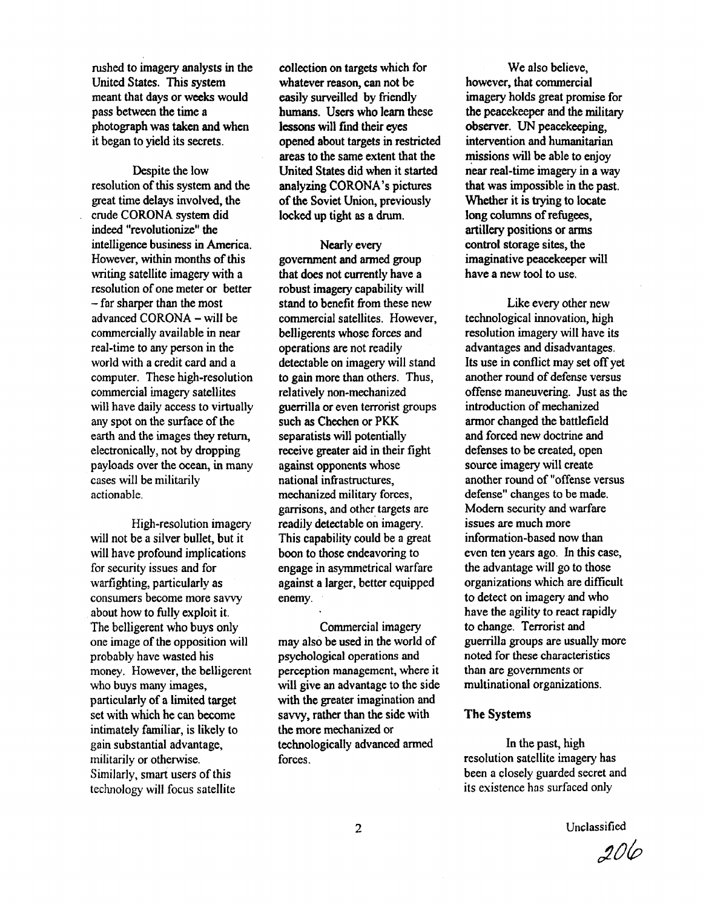rushed to imagery analysts in the United States. This system meant that days or weeks would pass between the time a photograph was taken and when it began to yield its secrets.

Despite the low resolution of this system and the great time delays involved, the crude CORONA system did indeed "revolutionize" the intelligence business in America. However, within months of this writing satellite imagery with a resolution of one meter or better  $-$  far sharper than the most advanced CORONA - will be commercially available in near real-time to any person in the world with a credit card and a computer. These high-resolution commercial imagery satellites will have daily access to virtually any spot on the surface of the earth and the images they return, electronically, not by dropping payloads over the ocean, in many cases will be militarily actionable.

High-resolution imagery will not be a silver bullet, but it will have profound implications for security issues and for warfighting, particularly as consumers become more savvy about how to fully exploit it. The belligerent who buys only one image of the opposition will probably have wasted his money. However, the belligerent who buys many images, particularly of a limited target set with which he can become intimately familiar, is likely to gain substantial advantage. militarily or otherwise. Similarly, smart users of this technology will focus satellite

collection on targets which for whatever reason, can not be easily surveilled by friendly humans. Users who learn these lessons will find their eyes opened about targets in restricted areas to the same extent that the United States did when it started analyzing CORONA's pictures of the Soviet Union, previously locked up tight as a drum.

Nearly every government and armed group that does not currently have a robust imagery capability will stand to benefit from these new commercial satellites. However, belligerents whose forces and operations are not readily detectable on imagery will stand to gain more than others. Thus, relatively non-mechanized guerrilla or even terrorist groups such as Chechen or PKK separatists will potentially receive greater aid in their fight against opponents whose national infrastructures, mechanized military forces, garrisons, and other targets are readily detectable on imagery. This capability could be a great boon to those endeavoring to engage in asymmetrical warfare against a larger, better equipped enemy.

Commercial imagery may also be used in the world of psychological operations and perception management, where it will give an advantage to the side with the greater imagination and savvy, rather than the side with the more mechanized or technologically advanced armed forces.

We also believe. however, that commercial imagery holds great promise for the peacekeeper and the military observer. UN peacekeeping. intervention and humanitarian missions will be able to enjoy near real-time imagery in a way that was impossible in the past. Whether it is trying to locate long columns of refugees. artillery positions or arms control storage sites, the imaginative peacekeeper will have a new tool to use.

Like every other new technological innovation, high resolution imagery will have its advantages and disadvantages. Its use in conflict may set off yet another round of defense versus offense maneuvering. Just as the introduction of mechanized armor changed the battlefield and forced new doctrine and defenses to be created, open source imagery will create another round of "offense versus defense" changes to be made. Modern security and warfare issues are much more information-based now than even ten years ago. In this case, the advantage will go to those organizations which are difficult to detect on imagery and who have the agility to react rapidly to change. Terrorist and guerrilla groups are usually more noted for these characteristics than are governments or multinational organizations.

## **The Systems**

In the past, high resolution satellite imagery has been a closely guarded secret and its existence has surfaced only

 $206$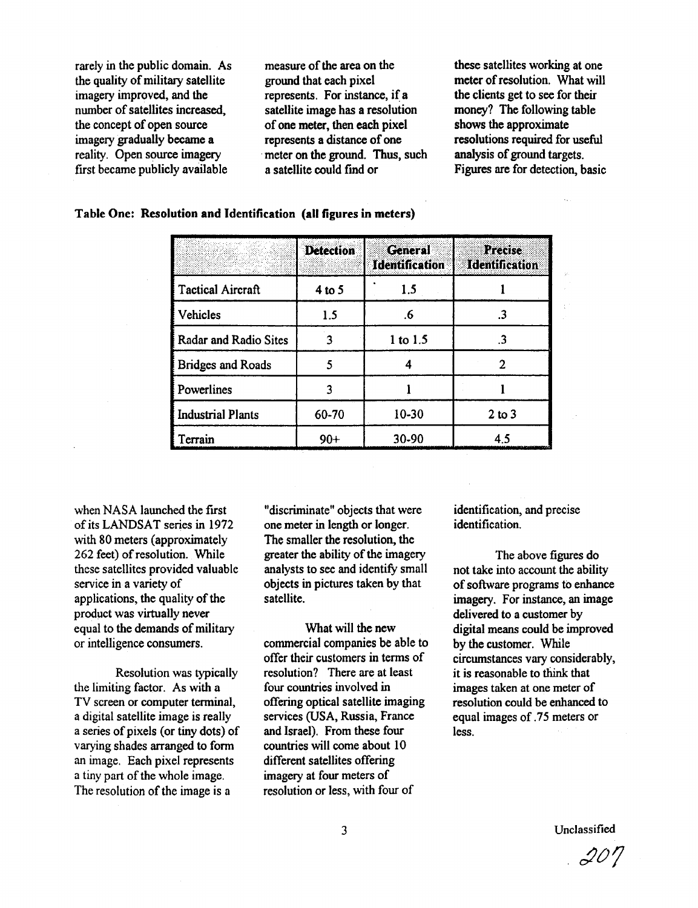rarely in the public domain. As the quality of military satellite imagery improved, and the number of satellites increased, the concept of open source imagery gradually became a reality. Open source imagery first became publicly available

measure of the area on the ground that each pixel represents. For instance, if a satellite image has a resolution of one meter, then each pixel represents a distance of one meter on the ground. Thus, such a satellite could find or

these satellites working at one meter of resolution. What will the clients get to see for their money? The following table shows the approximate resolutions required for useful analysis of ground targets. Figures are for detection, basic

|  |  |  | Table One: Resolution and Identification (all figures in meters) |  |
|--|--|--|------------------------------------------------------------------|--|
|--|--|--|------------------------------------------------------------------|--|

| ing president (* 1918)<br>2000 - Paul Barnett, franc | <b>Detection</b> | <b>General</b><br><b>Identification</b> | <b>Precise</b><br><b>Identification</b> |
|------------------------------------------------------|------------------|-----------------------------------------|-----------------------------------------|
| <b>Tactical Aircraft</b>                             | $4$ to 5         | 1.5                                     |                                         |
| <b>Vehicles</b>                                      | 1.5              | .6                                      | .3                                      |
| Radar and Radio Sites                                | ٩                | $1$ to $1.5$                            | .3                                      |
| <b>Bridges and Roads</b>                             |                  |                                         |                                         |
| Powerlines                                           | 3                |                                         |                                         |
| <b>Industrial Plants</b>                             | 60-70            | 10-30                                   | $2$ to $3$                              |
| Terrain                                              | $90+$            | 30-90                                   | 45                                      |

when NASA launched the first of its LANDSAT series in 1972 with 80 meters (approximately 262 feet) of resolution. While these satellites provided valuable service in a variety of applications, the quality of the product was virtually never equal to the demands of military or intelligence consumers.

Resolution was typically the limiting factor. As with a TV screen or computer terminal, a digital satellite image is really a series of pixels (or tiny dots) of varying shades arranged to form an image. Each pixel represents a tiny part of the whole image. The resolution of the image is a

"discriminate" objects that were one meter in length or longer. The smaller the resolution, the greater the ability of the imagery analysts to see and identify small objects in pictures taken by that satellite.

What will the new commercial companies be able to offer their customers in terms of resolution? There are at least four countries involved in offering optical satellite imaging services (USA, Russia, France and Israel). From these four countries will come about 10 different satellites offering imagery at four meters of resolution or less, with four of

identification, and precise identification.

The above figures do not take into account the ability of software programs to enhance imagery. For instance, an image delivered to a customer by digital means could be improved by the customer. While circumstances vary considerably, it is reasonable to think that images taken at one meter of resolution could be enhanced to equal images of .75 meters or less.

 $-20''$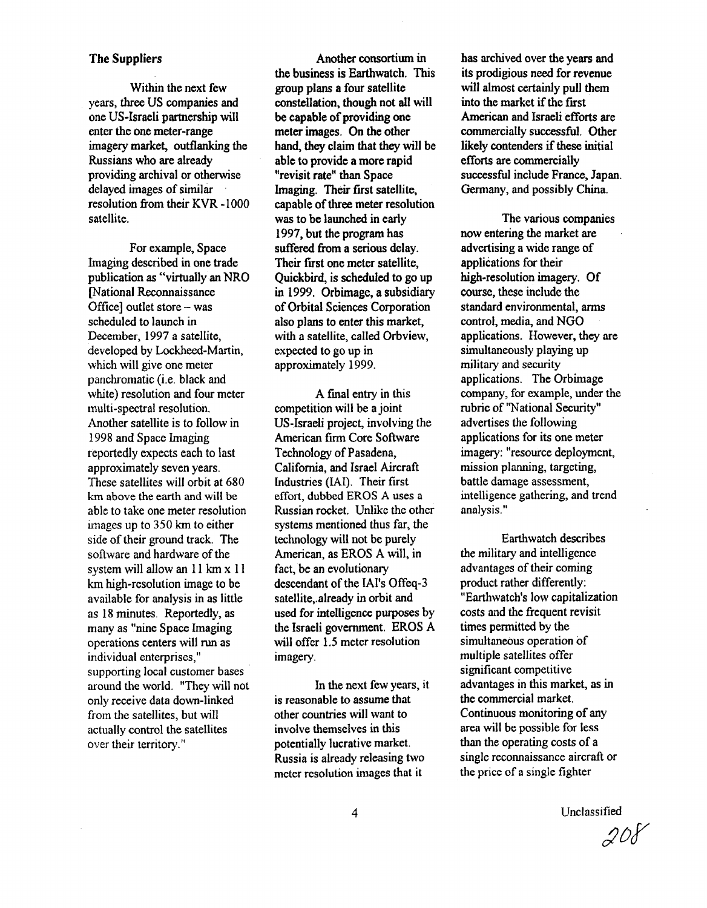### **The Suppliers**

Within the next few years, three US companies and one US-Israeli partnership will enter the one meter-range imagery market, outflanking the Russians who are already providing archival or otherwise delayed images of similar resolution from their KVR-1000 satellite.

For example, Space Imaging described in one trade publication as "virtually an NRO **INational Reconnaissance** Office] outlet store - was scheduled to launch in December, 1997 a satellite, developed by Lockheed-Martin, which will give one meter panchromatic (i.e. black and white) resolution and four meter multi-spectral resolution. Another satellite is to follow in 1998 and Space Imaging reportedly expects each to last approximately seven years. These satellites will orbit at 680 km above the earth and will be able to take one meter resolution images up to 350 km to either side of their ground track. The software and hardware of the system will allow an 11 km x 11 km high-resolution image to be available for analysis in as little as 18 minutes. Reportedly, as many as "nine Space Imaging" operations centers will run as individual enterprises." supporting local customer bases around the world. "They will not only receive data down-linked from the satellites, but will actually control the satellites over their territory."

Another consortium in the business is Earthwatch. This group plans a four satellite constellation, though not all will be capable of providing one meter images. On the other hand, they claim that they will be able to provide a more rapid "revisit rate" than Space Imaging. Their first satellite. capable of three meter resolution was to be launched in early 1997, but the program has suffered from a serious delay. Their first one meter satellite, Ouickbird, is scheduled to go up in 1999. Orbimage, a subsidiary of Orbital Sciences Corporation also plans to enter this market. with a satellite, called Orbview, expected to go up in approximately 1999.

A final entry in this competition will be a joint US-Israeli project, involving the American firm Core Software Technology of Pasadena. California, and Israel Aircraft Industries (IAI). Their first effort, dubbed EROS A uses a Russian rocket. Unlike the other systems mentioned thus far, the technology will not be purely American, as EROS A will, in fact, be an evolutionary descendant of the IAI's Offeq-3 satellite, already in orbit and used for intelligence purposes by the Israeli government. EROS A will offer 1.5 meter resolution imagery.

In the next few years, it is reasonable to assume that other countries will want to involve themselves in this potentially lucrative market. Russia is already releasing two meter resolution images that it

has archived over the years and its prodigious need for revenue will almost certainly pull them into the market if the first American and Israeli efforts are commercially successful. Other likely contenders if these initial efforts are commercially successful include France, Japan. Germany, and possibly China.

The various companies now entering the market are advertising a wide range of applications for their high-resolution imagery. Of course, these include the standard environmental, arms control, media, and NGO applications. However, they are simultaneously playing up military and security applications. The Orbimage company, for example, under the rubric of "National Security" advertises the following applications for its one meter imagery: "resource deployment, mission planning, targeting. battle damage assessment. intelligence gathering, and trend analysis."

Earthwatch describes the military and intelligence advantages of their coming product rather differently: "Earthwatch's low capitalization costs and the frequent revisit times permitted by the simultaneous operation of multiple satellites offer significant competitive advantages in this market, as in the commercial market. Continuous monitoring of any area will be possible for less than the operating costs of a single reconnaissance aircraft or the price of a single fighter

Unclassified

 $208$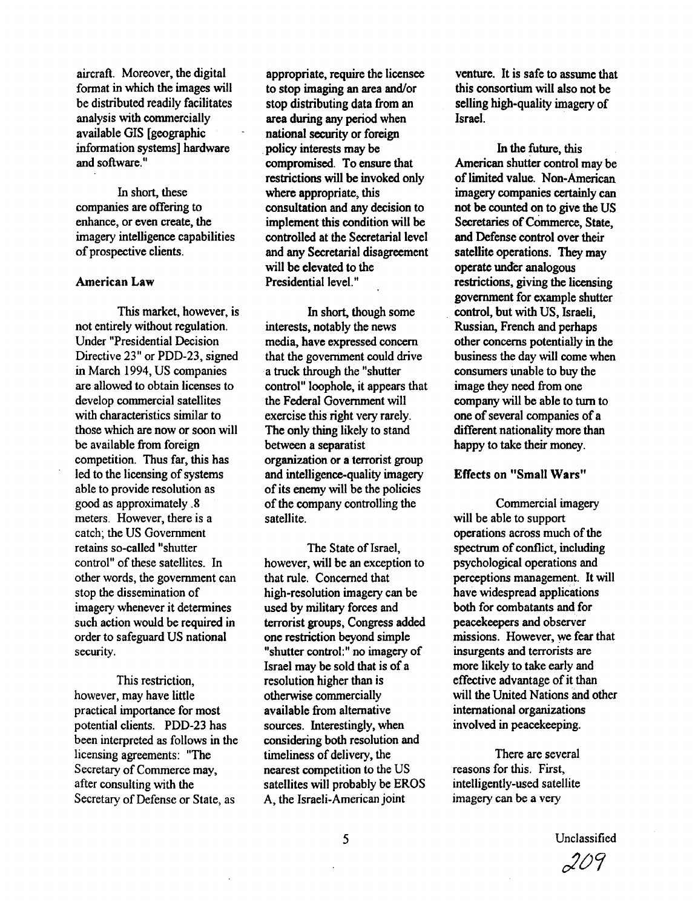aircraft. Moreover, the digital format in which the images will be distributed readily facilitates analysis with commercially available GIS [geographic] information systems] hardware and software."

In short, these companies are offering to enhance, or even create, the imagery intelligence capabilities of prospective clients.

#### **American Law**

This market, however, is not entirely without regulation. **Under "Presidential Decision** Directive 23" or PDD-23, signed in March 1994, US companies are allowed to obtain licenses to develop commercial satellites with characteristics similar to those which are now or soon will be available from foreign competition. Thus far, this has led to the licensing of systems able to provide resolution as good as approximately .8 meters. However, there is a catch; the US Government retains so-called "shutter control" of these satellites. In other words, the government can stop the dissemination of imagery whenever it determines such action would be required in order to safeguard US national security.

This restriction. however, may have little practical importance for most potential clients. PDD-23 has been interpreted as follows in the licensing agreements: "The Secretary of Commerce may. after consulting with the Secretary of Defense or State, as

appropriate, require the licensee to stop imaging an area and/or stop distributing data from an area during any period when national security or foreign policy interests may be compromised. To ensure that restrictions will be invoked only where appropriate, this consultation and any decision to implement this condition will be controlled at the Secretarial level and any Secretarial disagreement will be elevated to the Presidential level."

In short, though some interests, notably the news media, have expressed concern that the government could drive a truck through the "shutter control" loophole, it appears that the Federal Government will exercise this right very rarely. The only thing likely to stand between a separatist organization or a terrorist group and intelligence-quality imagery of its enemy will be the policies of the company controlling the satellite.

The State of Israel. however, will be an exception to that rule. Concerned that high-resolution imagery can be used by military forces and terrorist groups, Congress added one restriction beyond simple "shutter control:" no imagery of Israel may be sold that is of a resolution higher than is otherwise commercially available from alternative sources. Interestingly, when considering both resolution and timeliness of delivery, the nearest competition to the US satellites will probably be EROS A, the Israeli-American joint

venture. It is safe to assume that this consortium will also not be selling high-quality imagery of Israel.

In the future, this American shutter control may be of limited value. Non-American imagery companies certainly can not be counted on to give the US Secretaries of Commerce, State, and Defense control over their satellite operations. They may operate under analogous restrictions, giving the licensing government for example shutter control, but with US, Israeli. Russian, French and perhaps other concerns potentially in the business the day will come when consumers unable to buy the image they need from one company will be able to turn to one of several companies of a different nationality more than happy to take their money.

# Effects on "Small Wars"

Commercial imagery will be able to support operations across much of the spectrum of conflict, including psychological operations and perceptions management. It will have widespread applications both for combatants and for peacekeepers and observer missions. However, we fear that insurgents and terrorists are more likely to take early and effective advantage of it than will the United Nations and other international organizations involved in peacekeeping.

There are several reasons for this. First, intelligently-used satellite imagery can be a very

 $209$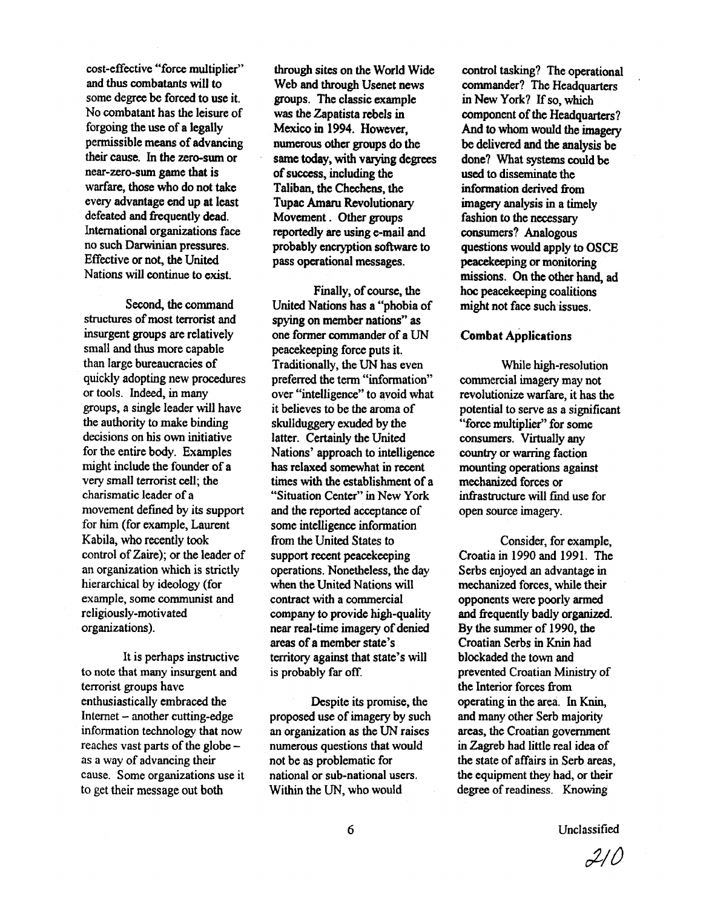cost-effective "force multiplier" and thus combatants will to some degree be forced to use it. No combatant has the leisure of forgoing the use of a legally permissible means of advancing their cause. In the zero-sum or near-zero-sum game that is warfare, those who do not take every advantage end up at least defeated and frequently dead. International organizations face no such Darwinian pressures. Effective or not, the United Nations will continue to exist.

Second, the command structures of most terrorist and insurgent groups are relatively small and thus more capable than large bureaucracies of quickly adopting new procedures or tools. Indeed, in many groups, a single leader will have the authority to make binding decisions on his own initiative for the entire body. Examples might include the founder of a very small terrorist cell; the charismatic leader of a movement defined by its support for him (for example, Laurent Kabila, who recently took control of Zaire); or the leader of an organization which is strictly hierarchical by ideology (for example, some communist and religiously-motivated organizations).

It is perhaps instructive to note that many insurgent and terrorist groups have enthusiastically embraced the Internet - another cutting-edge information technology that now reaches vast parts of the globe as a way of advancing their cause. Some organizations use it to get their message out both

through sites on the World Wide Web and through Usenet news groups. The classic example was the Zapatista rebels in Mexico in 1994. However. numerous other groups do the same today, with varying degrees of success, including the Taliban, the Chechens, the **Tupac Amaru Revolutionary** Movement. Other groups reportedly are using e-mail and probably encryption software to pass operational messages.

Finally, of course, the United Nations has a "phobia of spying on member nations" as one former commander of a UN peacekeeping force puts it. Traditionally, the UN has even preferred the term "information" over "intelligence" to avoid what it believes to be the aroma of skullduggery exuded by the latter. Certainly the United Nations' approach to intelligence has relaxed somewhat in recent times with the establishment of a "Situation Center" in New York and the reported acceptance of some intelligence information from the United States to support recent peacekeeping operations. Nonetheless, the day when the United Nations will contract with a commercial company to provide high-quality near real-time imagery of denied areas of a member state's territory against that state's will is probably far off.

Despite its promise, the proposed use of imagery by such an organization as the UN raises numerous questions that would not be as problematic for national or sub-national users. Within the UN, who would

control tasking? The operational commander? The Headquarters in New York? If so, which component of the Headquarters? And to whom would the imagery be delivered and the analysis be done? What systems could be used to disseminate the information derived from imagery analysis in a timely fashion to the necessary consumers? Analogous questions would apply to OSCE peacekeeping or monitoring missions. On the other hand, ad hoc peacekeeping coalitions might not face such issues.

#### **Combat Applications**

While high-resolution commercial imagery may not revolutionize warfare, it has the potential to serve as a significant "force multiplier" for some consumers. Virtually any country or warring faction mounting operations against mechanized forces or infrastructure will find use for open source imagery.

Consider, for example, Croatia in 1990 and 1991. The Serbs enjoyed an advantage in mechanized forces, while their opponents were poorly armed and frequently badly organized. By the summer of 1990, the Croatian Serbs in Knin had blockaded the town and prevented Croatian Ministry of the Interior forces from operating in the area. In Knin, and many other Serb majority areas, the Croatian government in Zagreb had little real idea of the state of affairs in Serb areas. the equipment they had, or their degree of readiness. Knowing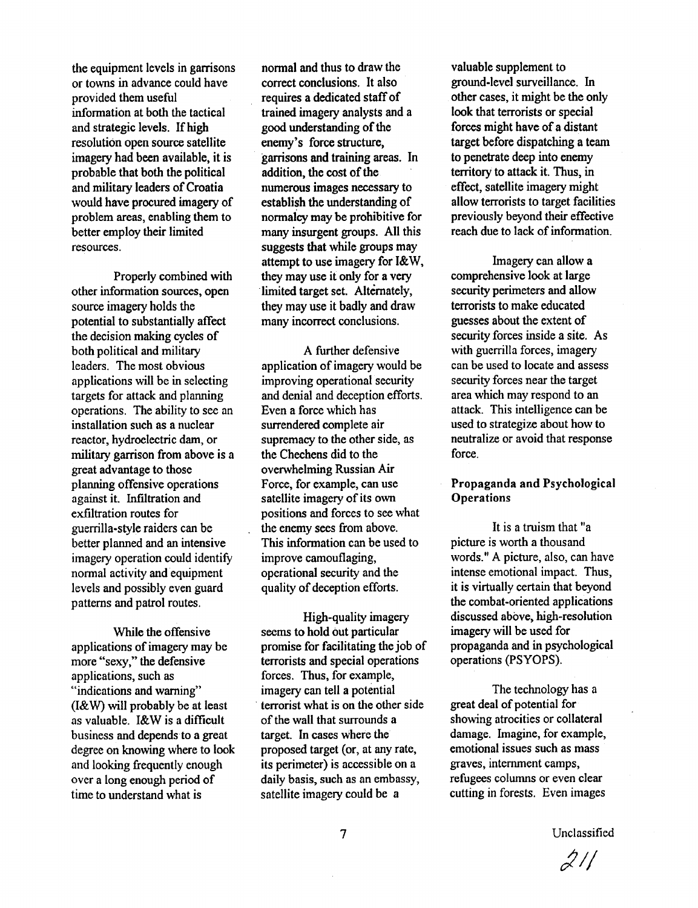the equipment levels in garrisons or towns in advance could have provided them useful information at both the tactical and strategic levels. If high resolution open source satellite imagery had been available, it is probable that both the political and military leaders of Croatia would have procured imagery of problem areas, enabling them to better employ their limited resources.

Properly combined with other information sources, open source imagery holds the potential to substantially affect the decision making cycles of both political and military leaders. The most obvious applications will be in selecting targets for attack and planning operations. The ability to see an installation such as a nuclear reactor, hydroelectric dam, or military garrison from above is a great advantage to those planning offensive operations against it. Infiltration and exfiltration routes for guerrilla-style raiders can be better planned and an intensive imagery operation could identify normal activity and equipment levels and possibly even guard patterns and patrol routes.

While the offensive applications of imagery may be more "sexy," the defensive applications, such as "indications and warning" (I&W) will probably be at least as valuable. I&W is a difficult business and depends to a great degree on knowing where to look and looking frequently enough over a long enough period of time to understand what is

normal and thus to draw the correct conclusions. It also requires a dedicated staff of trained imagery analysts and a good understanding of the enemy's force structure, garrisons and training areas. In addition, the cost of the numerous images necessary to establish the understanding of normalcy may be prohibitive for many insurgent groups. All this suggests that while groups may attempt to use imagery for I&W, they may use it only for a very limited target set. Alternately, they may use it badly and draw many incorrect conclusions.

A further defensive application of imagery would be improving operational security and denial and deception efforts. Even a force which has surrendered complete air supremacy to the other side, as the Chechens did to the overwhelming Russian Air Force, for example, can use satellite imagery of its own positions and forces to see what the enemy sees from above. This information can be used to improve camouflaging, operational security and the quality of deception efforts.

High-quality imagery seems to hold out particular promise for facilitating the job of terrorists and special operations forces. Thus, for example, imagery can tell a potential terrorist what is on the other side of the wall that surrounds a target. In cases where the proposed target (or, at any rate, its perimeter) is accessible on a daily basis, such as an embassy, satellite imagery could be a

valuable supplement to ground-level surveillance. In other cases, it might be the only look that terrorists or special forces might have of a distant target before dispatching a team to penetrate deep into enemy territory to attack it. Thus, in effect, satellite imagery might allow terrorists to target facilities previously beyond their effective reach due to lack of information

Imagery can allow a comprehensive look at large security perimeters and allow terrorists to make educated guesses about the extent of security forces inside a site. As with guerrilla forces, imagery can be used to locate and assess security forces near the target area which may respond to an attack. This intelligence can be used to strategize about how to neutralize or avoid that response force.

## Propaganda and Psychological **Operations**

It is a truism that "a picture is worth a thousand words." A picture, also, can have intense emotional impact. Thus, it is virtually certain that beyond the combat-oriented applications discussed above, high-resolution imagery will be used for propaganda and in psychological operations (PSYOPS).

The technology has a great deal of potential for showing atrocities or collateral damage. Imagine, for example, emotional issues such as mass graves, internment camps, refugees columns or even clear cutting in forests. Even images

 $21/$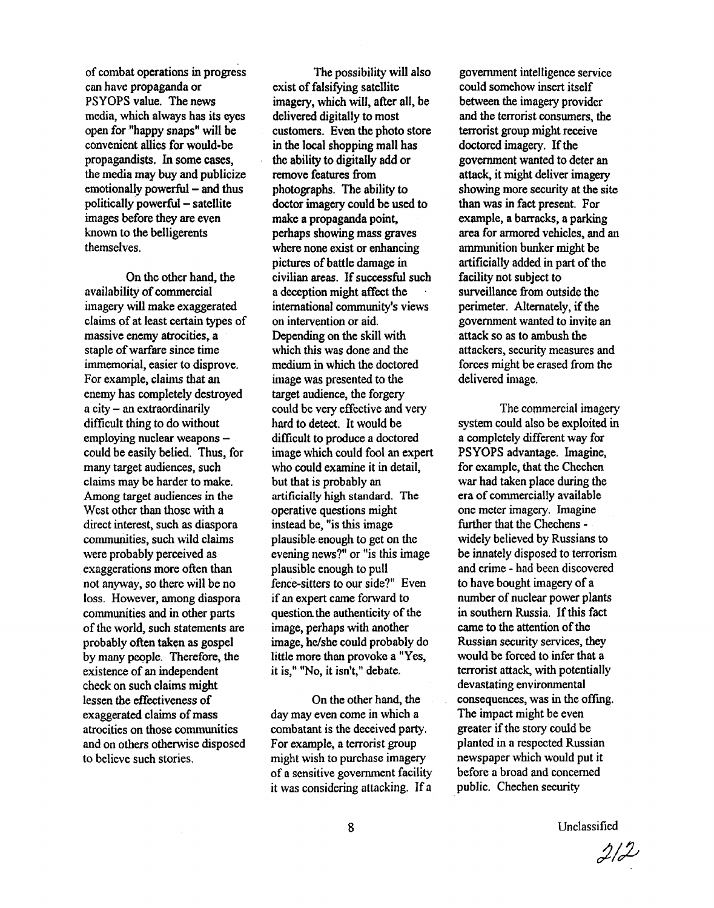of combat operations in progress can have propaganda or PSYOPS value. The news media, which always has its eyes open for "happy snaps" will be convenient allies for would-be propagandists. In some cases. the media may buy and publicize emotionally powerful – and thus politically powerful - satellite images before they are even known to the belligerents themselves.

On the other hand, the availability of commercial imagery will make exaggerated claims of at least certain types of massive enemy atrocities, a staple of warfare since time immemorial, easier to disprove. For example, claims that an enemy has completely destroyed  $a$  city  $-$  an extraordinarily difficult thing to do without employing nuclear weapons could be easily belied. Thus, for many target audiences, such claims may be harder to make. Among target audiences in the West other than those with a direct interest, such as diaspora communities, such wild claims were probably perceived as exaggerations more often than not anyway, so there will be no loss. However, among diaspora communities and in other parts of the world, such statements are probably often taken as gospel by many people. Therefore, the existence of an independent check on such claims might lessen the effectiveness of exaggerated claims of mass atrocities on those communities and on others otherwise disposed to believe such stories.

The possibility will also exist of falsifying satellite imagery, which will, after all, be delivered digitally to most customers. Even the photo store in the local shopping mall has the ability to digitally add or remove features from photographs. The ability to doctor imagery could be used to make a propaganda point. perhaps showing mass graves where none exist or enhancing pictures of battle damage in civilian areas. If successful such a deception might affect the international community's views on intervention or aid. Depending on the skill with which this was done and the medium in which the doctored image was presented to the target audience, the forgery could be very effective and very hard to detect. It would be difficult to produce a doctored image which could fool an expert who could examine it in detail. but that is probably an artificially high standard. The operative questions might instead be, "is this image plausible enough to get on the evening news?" or "is this image plausible enough to pull fence-sitters to our side?" Even if an expert came forward to question the authenticity of the image, perhaps with another image, he/she could probably do little more than provoke a "Yes, it is," "No, it isn't," debate.

On the other hand, the day may even come in which a combatant is the deceived party. For example, a terrorist group might wish to purchase imagery of a sensitive government facility it was considering attacking. If a

government intelligence service could somehow insert itself between the imagery provider and the terrorist consumers, the terrorist group might receive doctored imagery. If the government wanted to deter an attack, it might deliver imagery showing more security at the site than was in fact present. For example, a barracks, a parking area for armored vehicles, and an ammunition bunker might be artificially added in part of the facility not subject to surveillance from outside the perimeter. Alternately, if the government wanted to invite an attack so as to ambush the attackers, security measures and forces might be erased from the delivered image.

The commercial imagery system could also be exploited in a completely different way for PSYOPS advantage. Imagine, for example, that the Chechen war had taken place during the era of commercially available one meter imagery. Imagine further that the Chechens widely believed by Russians to be innately disposed to terrorism and crime - had been discovered to have bought imagery of a number of nuclear power plants in southern Russia. If this fact came to the attention of the Russian security services, they would be forced to infer that a terrorist attack, with potentially devastating environmental consequences, was in the offing. The impact might be even greater if the story could be planted in a respected Russian newspaper which would put it before a broad and concerned public. Chechen security

 $2/2$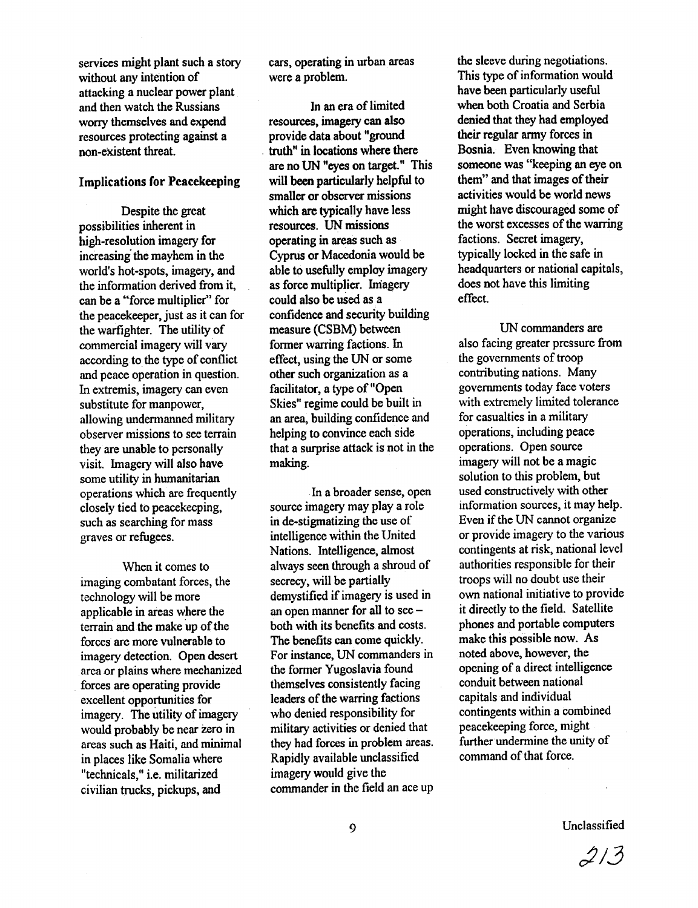services might plant such a story without any intention of attacking a nuclear power plant and then watch the Russians worry themselves and expend resources protecting against a non-existent threat.

#### **Implications for Peacekeeping**

Despite the great possibilities inherent in high-resolution imagery for increasing the mayhem in the world's hot-spots, imagery, and the information derived from it, can be a "force multiplier" for the peacekeeper, just as it can for the warfighter. The utility of commercial imagery will vary according to the type of conflict and peace operation in question. In extremis, imagery can even substitute for manpower, allowing undermanned military observer missions to see terrain they are unable to personally visit. Imagery will also have some utility in humanitarian operations which are frequently closely tied to peacekeeping, such as searching for mass graves or refugees.

When it comes to imaging combatant forces, the technology will be more applicable in areas where the terrain and the make up of the forces are more vulnerable to imagery detection. Open desert area or plains where mechanized forces are operating provide excellent opportunities for imagery. The utility of imagery would probably be near zero in areas such as Haiti, and minimal in places like Somalia where "technicals," i.e. militarized civilian trucks, pickups, and

cars, operating in urban areas were a problem.

In an era of limited resources, imagery can also provide data about "ground truth" in locations where there are no UN "eyes on target." This will been particularly helpful to smaller or observer missions which are typically have less resources. UN missions operating in areas such as Cyprus or Macedonia would be able to usefully employ imagery as force multiplier. Imagery could also be used as a confidence and security building measure (CSBM) between former warring factions. In effect, using the UN or some other such organization as a facilitator, a type of "Open Skies" regime could be built in an area, building confidence and helping to convince each side that a surprise attack is not in the making.

In a broader sense, open source imagery may play a role in de-stigmatizing the use of intelligence within the United Nations. Intelligence, almost always seen through a shroud of secrecy, will be partially demystified if imagery is used in an open manner for all to see  $$ both with its benefits and costs. The benefits can come quickly. For instance, UN commanders in the former Yugoslavia found themselves consistently facing leaders of the warring factions who denied responsibility for military activities or denied that they had forces in problem areas. Rapidly available unclassified imagery would give the commander in the field an ace up

the sleeve during negotiations. This type of information would have been particularly useful when both Croatia and Serbia denied that they had employed their regular army forces in Bosnia. Even knowing that someone was "keeping an eye on them" and that images of their activities would be world news might have discouraged some of the worst excesses of the warring factions. Secret imagery, typically locked in the safe in headquarters or national capitals, does not have this limiting effect.

**IJN** commanders are also facing greater pressure from the governments of troop contributing nations. Many governments today face voters with extremely limited tolerance for casualties in a military operations, including peace operations. Open source imagery will not be a magic solution to this problem, but used constructively with other information sources, it may help. Even if the UN cannot organize or provide imagery to the various contingents at risk, national level authorities responsible for their troops will no doubt use their own national initiative to provide it directly to the field. Satellite phones and portable computers make this possible now. As noted above, however, the opening of a direct intelligence conduit between national canitals and individual contingents within a combined peacekeeping force, might further undermine the unity of command of that force.

 $213$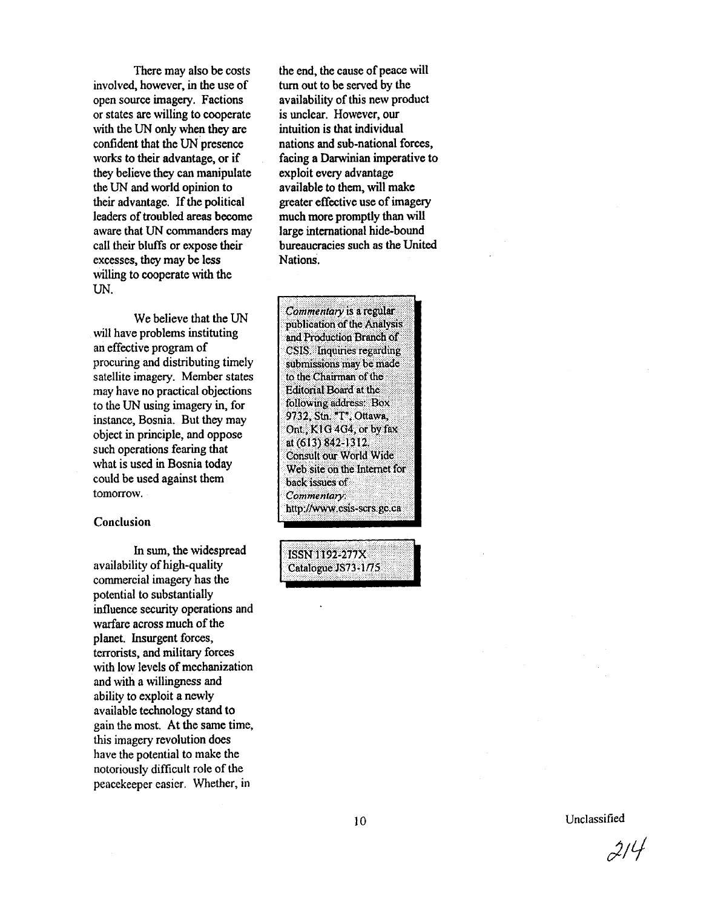There may also be costs involved, however, in the use of open source imagery. Factions or states are willing to cooperate with the UN only when they are confident that the UN presence works to their advantage, or if they believe they can manipulate the UN and world opinion to their advantage. If the political leaders of troubled areas become aware that UN commanders may call their bluffs or expose their excesses, they may be less willing to cooperate with the UN.

We believe that the UN will have problems instituting an effective program of procuring and distributing timely satellite imagery. Member states may have no practical objections to the UN using imagery in, for instance, Bosnia. But they may object in principle, and oppose such operations fearing that what is used in Bosnia today could be used against them tomorrow.

## Conclusion

In sum, the widespread availability of high-quality commercial imagery has the potential to substantially influence security operations and warfare across much of the planet. Insurgent forces, terrorists, and military forces with low levels of mechanization and with a willingness and ability to exploit a newly available technology stand to gain the most. At the same time, this imagery revolution does have the potential to make the notoriously difficult role of the peacekeeper easier. Whether, in

the end, the cause of peace will turn out to be served by the availability of this new product is unclear. However, our intuition is that individual nations and sub-national forces, facing a Darwinian imperative to exploit every advantage available to them, will make greater effective use of imagery much more promptly than will large international hide-bound bureaucracies such as the United Nations.

Commentary is a regular publication of the Analysis and Production Branch of CSIS. Inquiries regarding submissions may be made to the Chairman of the **Editorial Board at the** following address: Box 9732, Stn. "T", Ottawa, Ont., K1G 4G4, or by fax at (613) 842-1312. Consult our World Wide Web site on the Internet for back issues of Commentary: http://www.csis-scrs.gc.ca

ISSN 1192-277X Catalogue JS73-1/75

 $214$